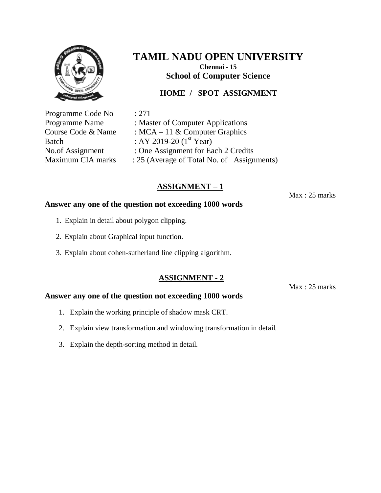

**School of Computer Science**

## **HOME / SPOT ASSIGNMENT**

Programme Code No : 271

Programme Name : Master of Computer Applications Course Code & Name : MCA – 11 & Computer Graphics Batch : AY 2019-20  $(1^{st}$  Year) No.of Assignment : One Assignment for Each 2 Credits Maximum CIA marks : 25 (Average of Total No. of Assignments)

## **ASSIGNMENT – 1**

Max : 25 marks

#### **Answer any one of the question not exceeding 1000 words**

- 1. Explain in detail about polygon clipping.
- 2. Explain about Graphical input function.
- 3. Explain about cohen-sutherland line clipping algorithm.

### **ASSIGNMENT - 2**

Max : 25 marks

- 1. Explain the working principle of shadow mask CRT.
- 2. Explain view transformation and windowing transformation in detail.
- 3. Explain the depth-sorting method in detail.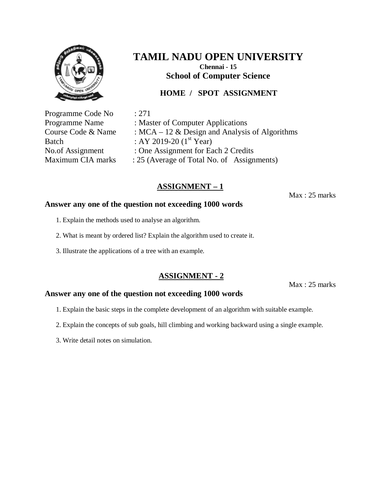

### **HOME / SPOT ASSIGNMENT**

Programme Code No : 271 Batch : AY 2019-20  $(1^{\text{st}} \text{Year})$ 

Programme Name : Master of Computer Applications Course Code & Name :  $MCA - 12$  & Design and Analysis of Algorithms No.of Assignment : One Assignment for Each 2 Credits Maximum CIA marks : 25 (Average of Total No. of Assignments)

## **ASSIGNMENT – 1**

Max : 25 marks

#### **Answer any one of the question not exceeding 1000 words**

- 1. Explain the methods used to analyse an algorithm.
- 2. What is meant by ordered list? Explain the algorithm used to create it.
- 3. Illustrate the applications of a tree with an example.

### **ASSIGNMENT - 2**

Max : 25 marks

- 1. Explain the basic steps in the complete development of an algorithm with suitable example.
- 2. Explain the concepts of sub goals, hill climbing and working backward using a single example.
- 3. Write detail notes on simulation.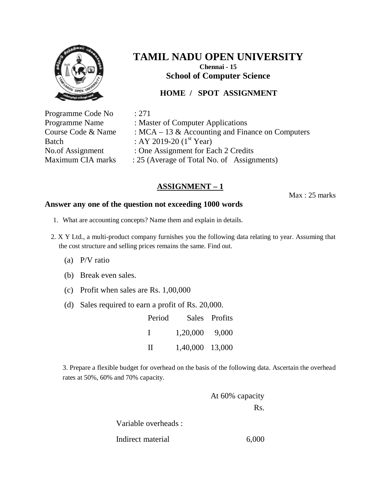

### **HOME / SPOT ASSIGNMENT**

Programme Code No : 271 Programme Name : Master of Computer Applications Course Code & Name :  $MCA - 13$  & Accounting and Finance on Computers Batch : AY 2019-20  $(1^{st}$  Year) No.of Assignment : One Assignment for Each 2 Credits Maximum CIA marks : 25 (Average of Total No. of Assignments)

## **ASSIGNMENT – 1**

Max : 25 marks

#### **Answer any one of the question not exceeding 1000 words**

- 1. What are accounting concepts? Name them and explain in details.
- 2. X Y Ltd., a multi-product company furnishes you the following data relating to year. Assuming that the cost structure and selling prices remains the same. Find out.
	- (a) P/V ratio
	- (b) Break even sales.
	- (c) Profit when sales are Rs. 1,00,000
	- (d) Sales required to earn a profit of Rs. 20,000.

Period Sales Profits I 1,20,000 9,000 II 1,40,000 13,000

3. Prepare a flexible budget for overhead on the basis of the following data. Ascertain the overhead rates at 50%, 60% and 70% capacity.

> At 60% capacity Rs. Variable overheads : Indirect material 6,000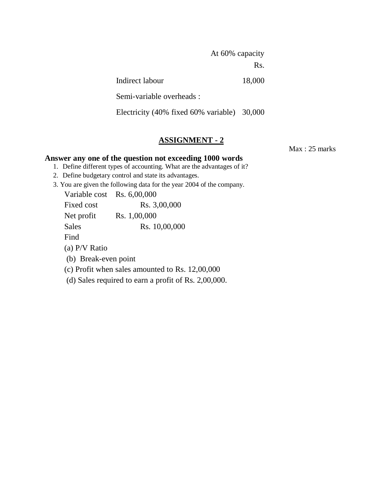At 60% capacity Rs. Indirect labour 18,000 Semi-variable overheads : Electricity (40% fixed 60% variable) 30,000

#### **ASSIGNMENT - 2**

Max : 25 marks

- 1. Define different types of accounting. What are the advantages of it?
- 2. Define budgetary control and state its advantages.
- 3. You are given the following data for the year 2004 of the company.

| Variable cost Rs. 6,00,000 |                                                      |
|----------------------------|------------------------------------------------------|
| Fixed cost                 | Rs. 3,00,000                                         |
| Net profit                 | Rs. 1,00,000                                         |
| Sales                      | Rs. 10,00,000                                        |
| Find                       |                                                      |
| (a) $P/V$ Ratio            |                                                      |
| (b) Break-even point       |                                                      |
|                            | (c) Profit when sales amounted to Rs. $12,00,000$    |
|                            | (d) Sales required to earn a profit of Rs. 2,00,000. |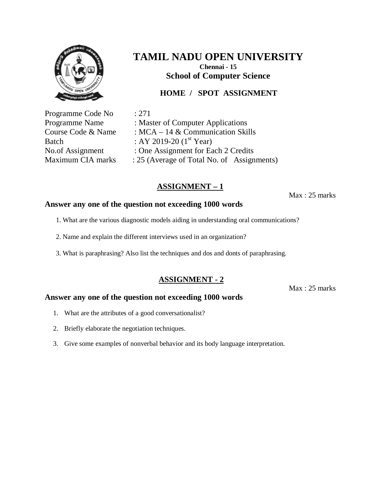

### **HOME / SPOT ASSIGNMENT**

Programme Code No : 271

Programme Name : Master of Computer Applications Course Code & Name : MCA – 14 & Communication Skills Batch : AY 2019-20  $(1^{st}$  Year) No.of Assignment : One Assignment for Each 2 Credits Maximum CIA marks : 25 (Average of Total No. of Assignments)

## **ASSIGNMENT – 1**

Max : 25 marks

#### **Answer any one of the question not exceeding 1000 words**

- 1. What are the various diagnostic models aiding in understanding oral communications?
- 2. Name and explain the different interviews used in an organization?
- 3. What is paraphrasing? Also list the techniques and dos and donts of paraphrasing.

### **ASSIGNMENT - 2**

Max : 25 marks

- 1. What are the attributes of a good conversationalist?
- 2. Briefly elaborate the negotiation techniques.
- 3. Give some examples of nonverbal behavior and its body language interpretation.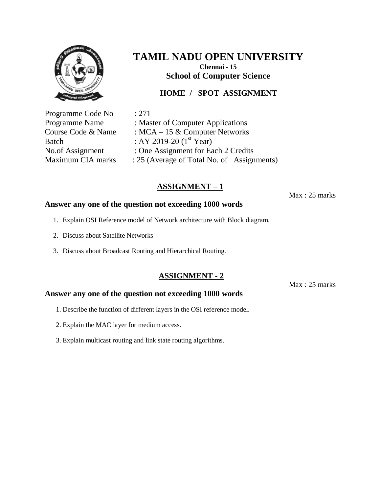

**School of Computer Science**

## **HOME / SPOT ASSIGNMENT**

Programme Code No : 271

Programme Name : Master of Computer Applications Course Code & Name : MCA – 15 & Computer Networks Batch : AY 2019-20  $(1^{st}$  Year) No.of Assignment : One Assignment for Each 2 Credits Maximum CIA marks : 25 (Average of Total No. of Assignments)

## **ASSIGNMENT – 1**

Max : 25 marks

#### **Answer any one of the question not exceeding 1000 words**

- 1. Explain OSI Reference model of Network architecture with Block diagram.
- 2. Discuss about Satellite Networks
- 3. Discuss about Broadcast Routing and Hierarchical Routing.

#### **ASSIGNMENT - 2**

Max : 25 marks

- 1. Describe the function of different layers in the OSI reference model.
- 2. Explain the MAC layer for medium access.
- 3. Explain multicast routing and link state routing algorithms.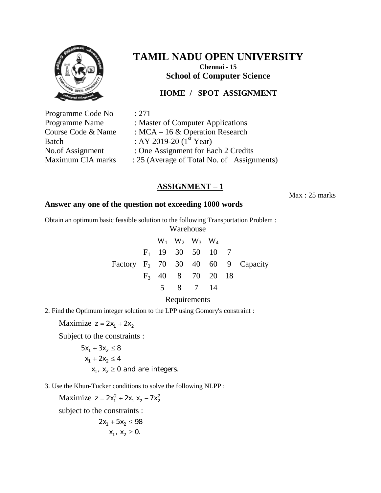

**School of Computer Science**

### **HOME / SPOT ASSIGNMENT**

Programme Code No : 271 Programme Name : Master of Computer Applications Course Code & Name : MCA – 16 & Operation Research Batch : AY 2019-20  $(1<sup>st</sup> Year)$ No.of Assignment : One Assignment for Each 2 Credits Maximum CIA marks : 25 (Average of Total No. of Assignments)

## **ASSIGNMENT – 1**

Max : 25 marks

#### **Answer any one of the question not exceeding 1000 words**

Obtain an optimum basic feasible solution to the following Transportation Problem :

Warehouse

|  | $W_1$ $W_2$ $W_3$ $W_4$ |  |                                      |
|--|-------------------------|--|--------------------------------------|
|  | $F_1$ 19 30 50 10 7     |  |                                      |
|  |                         |  | Factory $F_2$ 70 30 40 60 9 Capacity |
|  | $F_3$ 40 8 70 20 18     |  |                                      |
|  | 5 8 7 14                |  |                                      |
|  |                         |  |                                      |

Requirements

2. Find the Optimum integer solution to the LPP using Gomory's constraint :

Maximize  $z = 2x_1 + 2x_2$ 

Subject to the constraints :

$$
5x1 + 3x2 \le 8
$$
  

$$
x1 + 2x2 \le 4
$$
  

$$
x1, x2 \ge 0
$$
 and are integers.

3. Use the Khun-Tucker conditions to solve the following NLPP :

Maximize  $z = 2x_1^2 + 2x_1 x_2 - 7x_2^2$ 

subject to the constraints :

 $x_1, x_2 \geq 0.$  $2x_1 + 5x_2 \le 98$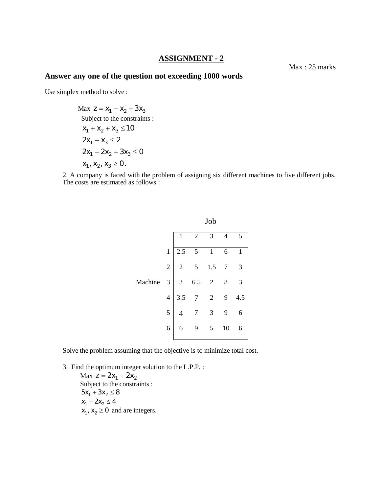#### **ASSIGNMENT - 2**

#### **Answer any one of the question not exceeding 1000 words**

Use simplex method to solve :

Max 
$$
z = x_1 - x_2 + 3x_3
$$
  
\nSubject to the constraints :  
\n $x_1 + x_2 + x_3 \le 10$   
\n $2x_1 - x_3 \le 2$   
\n $2x_1 - 2x_2 + 3x_3 \le 0$   
\n $x_1, x_2, x_3 \ge 0$ .

2. A company is faced with the problem of assigning six different machines to five different jobs. The costs are estimated as follows :

|         |                |     |     | Job                      |                |              |
|---------|----------------|-----|-----|--------------------------|----------------|--------------|
|         |                |     | 2   | 3                        | 4              | 5            |
|         | $\mathbf{1}$   | 2.5 |     | $\mathbf{1}$             | 6              | $\mathbf{1}$ |
|         | $\overline{c}$ |     | 5   | 1.5                      |                | 3            |
| Machine | 3              | 3   | 6.5 | $\overline{c}$           | 8              | 3            |
|         | $\overline{4}$ | 3.5 |     | $\overline{\phantom{a}}$ | $\overline{9}$ | 4.5          |
|         | 5              |     |     | 3                        |                | 6            |
|         | 6              | 6   |     | 5                        | 10             | 6            |
|         |                |     |     |                          |                |              |

Solve the problem assuming that the objective is to minimize total cost.

3. Find the optimum integer solution to the L.P.P. :

Max  $z = 2x_1 + 2x_2$ Subject to the constraints :  $5x_1 + 3x_2 \le 8$  $x_1 + 2x_2 \le 4$  $x_1$ ,  $x_2 \ge 0$  and are integers.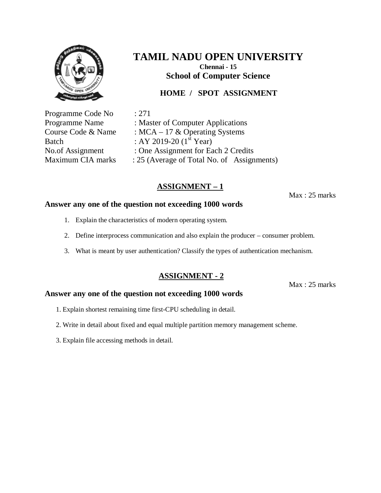

### **HOME / SPOT ASSIGNMENT**

Programme Code No : 271

Programme Name : Master of Computer Applications Course Code & Name : MCA – 17 & Operating Systems Batch : AY 2019-20  $(1^{st}$  Year) No.of Assignment : One Assignment for Each 2 Credits Maximum CIA marks : 25 (Average of Total No. of Assignments)

## **ASSIGNMENT – 1**

Max : 25 marks

#### **Answer any one of the question not exceeding 1000 words**

- 1. Explain the characteristics of modern operating system.
- 2. Define interprocess communication and also explain the producer consumer problem.
- 3. What is meant by user authentication? Classify the types of authentication mechanism.

### **ASSIGNMENT - 2**

Max : 25 marks

- 1. Explain shortest remaining time first-CPU scheduling in detail.
- 2. Write in detail about fixed and equal multiple partition memory management scheme.
- 3. Explain file accessing methods in detail.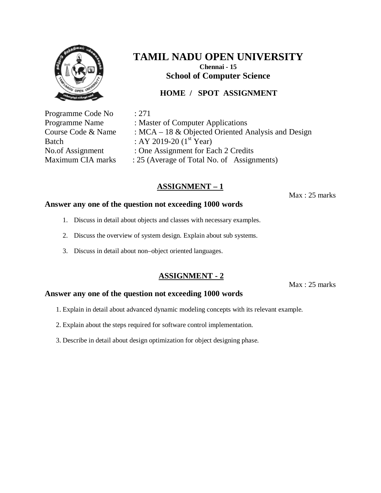

## **HOME / SPOT ASSIGNMENT**

Programme Code No : 271 Batch : AY 2019-20  $(1^{st}$  Year)

Programme Name : Master of Computer Applications Course Code & Name :  $MCA - 18$  & Objected Oriented Analysis and Design No.of Assignment : One Assignment for Each 2 Credits Maximum CIA marks : 25 (Average of Total No. of Assignments)

## **ASSIGNMENT – 1**

Max : 25 marks

#### **Answer any one of the question not exceeding 1000 words**

- 1. Discuss in detail about objects and classes with necessary examples.
- 2. Discuss the overview of system design. Explain about sub systems.
- 3. Discuss in detail about non–object oriented languages.

### **ASSIGNMENT - 2**

Max : 25 marks

- 1. Explain in detail about advanced dynamic modeling concepts with its relevant example.
- 2. Explain about the steps required for software control implementation.
- 3. Describe in detail about design optimization for object designing phase.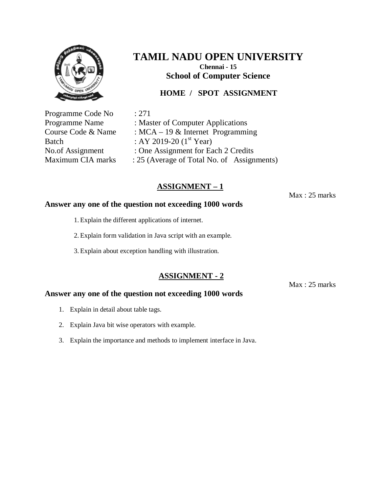

### **HOME / SPOT ASSIGNMENT**

Programme Code No : 271

Programme Name : Master of Computer Applications Course Code & Name : MCA – 19 & Internet Programming Batch : AY 2019-20  $(1^{st}$  Year) No.of Assignment : One Assignment for Each 2 Credits Maximum CIA marks : 25 (Average of Total No. of Assignments)

## **ASSIGNMENT – 1**

Max : 25 marks

#### **Answer any one of the question not exceeding 1000 words**

- 1. Explain the different applications of internet.
- 2. Explain form validation in Java script with an example.
- 3. Explain about exception handling with illustration.

#### **ASSIGNMENT - 2**

Max : 25 marks

- 1. Explain in detail about table tags.
- 2. Explain Java bit wise operators with example.
- 3. Explain the importance and methods to implement interface in Java.